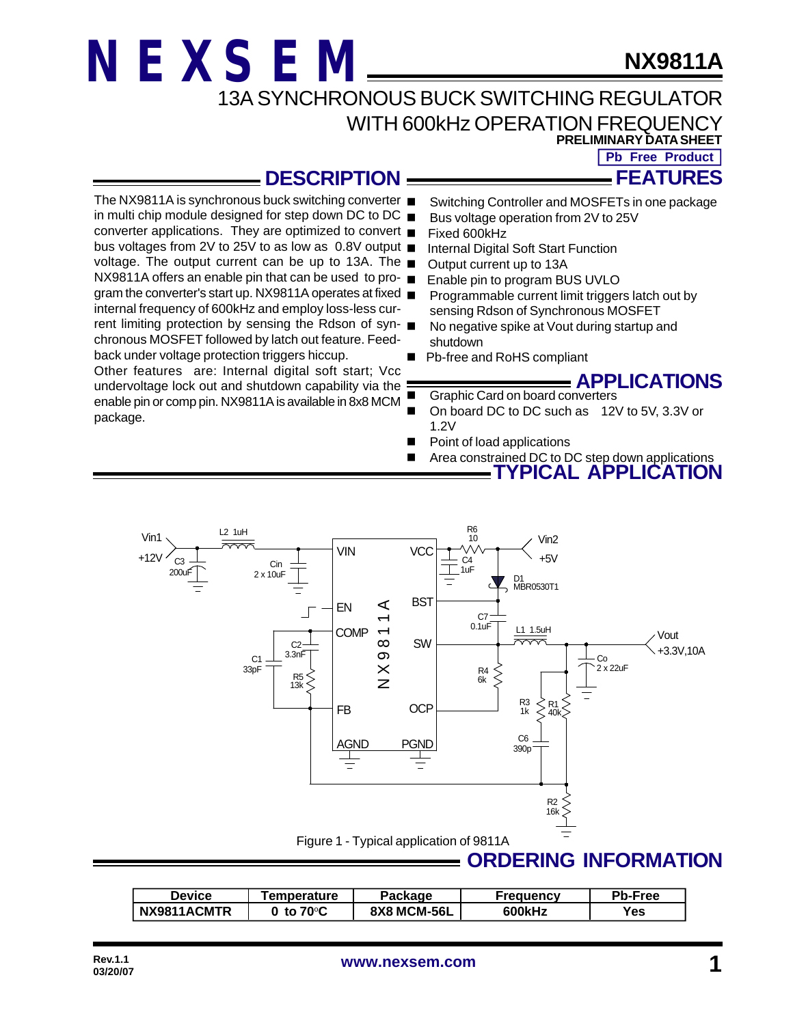### **NX9811A**

13A SYNCHRONOUS BUCK SWITCHING REGULATOR

#### WITH 600kHz OPERATION FREQUENCY **PRELIMINARY DATA SHEET**

**Pb Free Product**

**FEATURES**

### **DESCRIPTION**

**NEXSEM**

- The NX9811A is synchronous buck switching converter in multi chip module designed for step down DC to DC  $\blacksquare$ converter applications. They are optimized to convert bus voltages from 2V to 25V to as low as 0.8V output  $\blacksquare$ voltage. The output current can be up to 13A. The  $\blacksquare$ NX9811A offers an enable pin that can be used to pro- ■ gram the converter's start up. NX9811A operates at fixed internal frequency of 600kHz and employ loss-less current limiting protection by sensing the Rdson of syn- $\blacksquare$ chronous MOSFET followed by latch out feature. Feedback under voltage protection triggers hiccup. Other features are: Internal digital soft start; Vcc undervoltage lock out and shutdown capability via the enable pin or comp pin. NX9811A is available in 8x8 MCM package. Switching Controller and MOSFETs in one package Bus voltage operation from 2V to 25V Fixed 600kHz Internal Digital Soft Start Function Output current up to 13A Enable pin to program BUS UVLO Programmable current limit triggers latch out by sensing Rdson of Synchronous MOSFET No negative spike at Vout during startup and shutdown Pb-free and RoHS compliant **APPLICATIONS** Graphic Card on board converters<br>Con board DC to DC such as 12 On board DC to DC such as 12V to 5V, 3.3V or 1.2V ■ Point of load applications
	- Area constrained DC to DC step down applications
		- **TYPICAL APPLICATION**



#### **Device | Temperature | Package | Frequency | Pb-Free NX9811ACMTR** | 0 to 70°C | 8X8 MCM-56L | 600kHz | Yes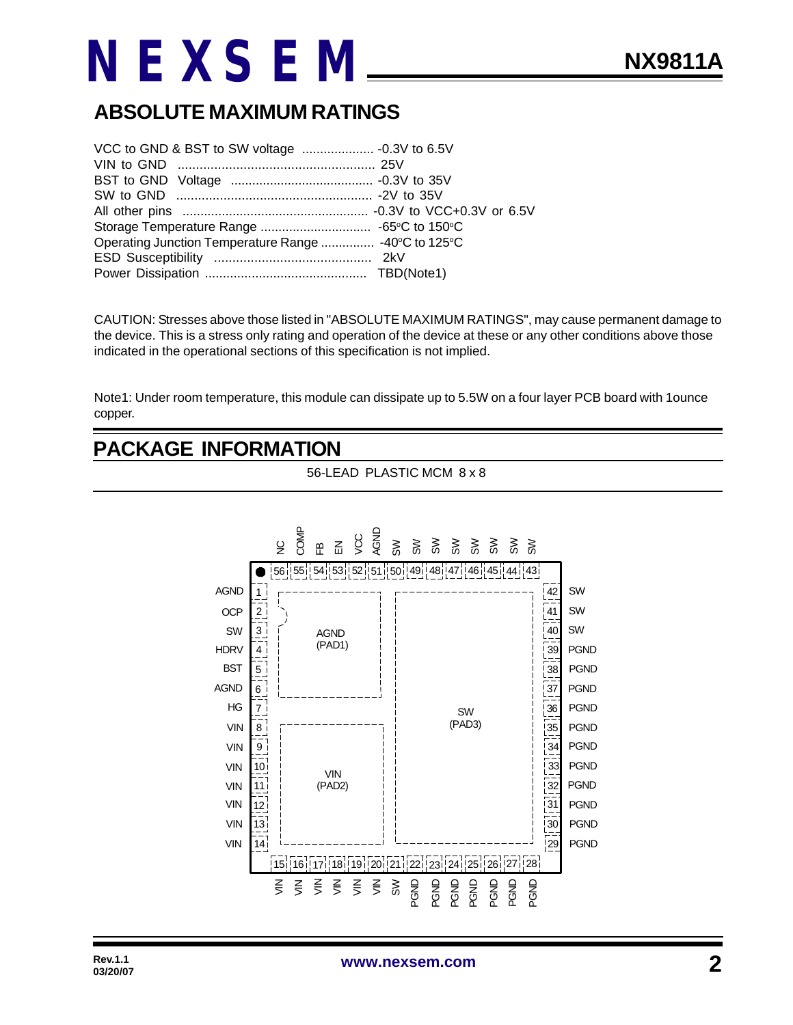### **ABSOLUTE MAXIMUM RATINGS**

| Operating Junction Temperature Range  -40°C to 125°C |  |
|------------------------------------------------------|--|
|                                                      |  |
|                                                      |  |

CAUTION: Stresses above those listed in "ABSOLUTE MAXIMUM RATINGS", may cause permanent damage to the device. This is a stress only rating and operation of the device at these or any other conditions above those indicated in the operational sections of this specification is not implied.

Note1: Under room temperature, this module can dissipate up to 5.5W on a four layer PCB board with 1ounce copper.

### **PACKAGE INFORMATION**

56-LEAD PLASTIC MCM 8 x 8

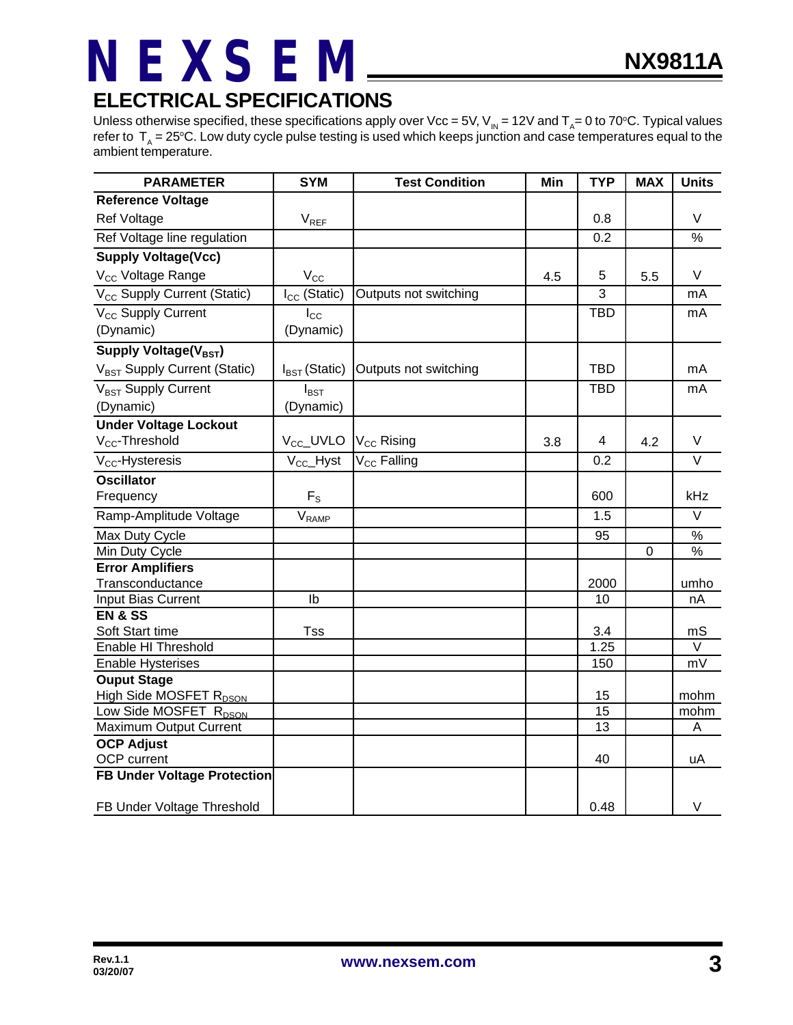### **ELECTRICAL SPECIFICATIONS**

Unless otherwise specified, these specifications apply over Vcc = 5V, V<sub>IN</sub> = 12V and T<sub>A</sub>= 0 to 70°C. Typical values refer to  $\rm\,T_{_A}=25^oC.$  Low duty cycle pulse testing is used which keeps junction and case temperatures equal to the ambient temperature.

| <b>PARAMETER</b>                         | <b>SYM</b>                | <b>Test Condition</b>   | Min | <b>TYP</b> | <b>MAX</b> | <b>Units</b>      |
|------------------------------------------|---------------------------|-------------------------|-----|------------|------------|-------------------|
| <b>Reference Voltage</b>                 |                           |                         |     |            |            |                   |
| Ref Voltage                              | $V_{REF}$                 |                         |     | 0.8        |            | V                 |
| Ref Voltage line regulation              |                           |                         |     | 0.2        |            | $\frac{0}{0}$     |
| <b>Supply Voltage(Vcc)</b>               |                           |                         |     |            |            |                   |
| V <sub>CC</sub> Voltage Range            | $V_{\rm CC}$              |                         | 4.5 | 5          | 5.5        | V                 |
| V <sub>CC</sub> Supply Current (Static)  | $I_{CC}$ (Static)         | Outputs not switching   |     | 3          |            | mA                |
| V <sub>CC</sub> Supply Current           | $I_{\rm CC}$              |                         |     | <b>TBD</b> |            | mA                |
| (Dynamic)                                | (Dynamic)                 |                         |     |            |            |                   |
| Supply Voltage(V <sub>BST</sub> )        |                           |                         |     |            |            |                   |
| V <sub>BST</sub> Supply Current (Static) | $I_{\text{BST}}$ (Static) | Outputs not switching   |     | <b>TBD</b> |            | mA                |
| V <sub>BST</sub> Supply Current          | $I_{\text{BST}}$          |                         |     | <b>TBD</b> |            | mA                |
| (Dynamic)                                | (Dynamic)                 |                         |     |            |            |                   |
| <b>Under Voltage Lockout</b>             |                           |                         |     |            |            |                   |
| V <sub>CC</sub> -Threshold               | $V_{\text{CC}}$ _UVLO     | $V_{\text{CC}}$ Rising  | 3.8 | 4          | 4.2        | V                 |
| $V_{CC}$ -Hysteresis                     | $V_{CC}$ Hyst             | V <sub>CC</sub> Falling |     | 0.2        |            | $\overline{\vee}$ |
| <b>Oscillator</b>                        |                           |                         |     |            |            |                   |
| Frequency                                | $F_S$                     |                         |     | 600        |            | kHz               |
| Ramp-Amplitude Voltage                   | $V_{\mathsf{RAMP}}$       |                         |     | 1.5        |            | $\vee$            |
| Max Duty Cycle                           |                           |                         |     | 95         |            | %                 |
| Min Duty Cycle                           |                           |                         |     |            | 0          | $\frac{9}{6}$     |
| <b>Error Amplifiers</b>                  |                           |                         |     |            |            |                   |
| Transconductance                         |                           |                         |     | 2000       |            | umho              |
| Input Bias Current                       | Ib                        |                         |     | 10         |            | nA                |
| <b>EN &amp; SS</b>                       |                           |                         |     |            |            |                   |
| Soft Start time                          | Tss                       |                         |     | 3.4        |            | mS                |
| Enable HI Threshold                      |                           |                         |     | 1.25       |            | V                 |
| <b>Enable Hysterises</b>                 |                           |                         |     | 150        |            | mV                |
| <b>Ouput Stage</b>                       |                           |                         |     |            |            |                   |
| High Side MOSFET R <sub>DSON</sub>       |                           |                         |     | 15<br>15   |            | mohm              |
| Low Side MOSFET R <sub>DSON</sub>        |                           |                         |     | 13         |            | mohm              |
| <b>Maximum Output Current</b>            |                           |                         |     |            |            | Α                 |
| <b>OCP Adjust</b>                        |                           |                         |     | 40         |            |                   |
| OCP current                              |                           |                         |     |            |            | uA                |
| <b>FB Under Voltage Protection</b>       |                           |                         |     |            |            |                   |
| FB Under Voltage Threshold               |                           |                         |     | 0.48       |            | $\vee$            |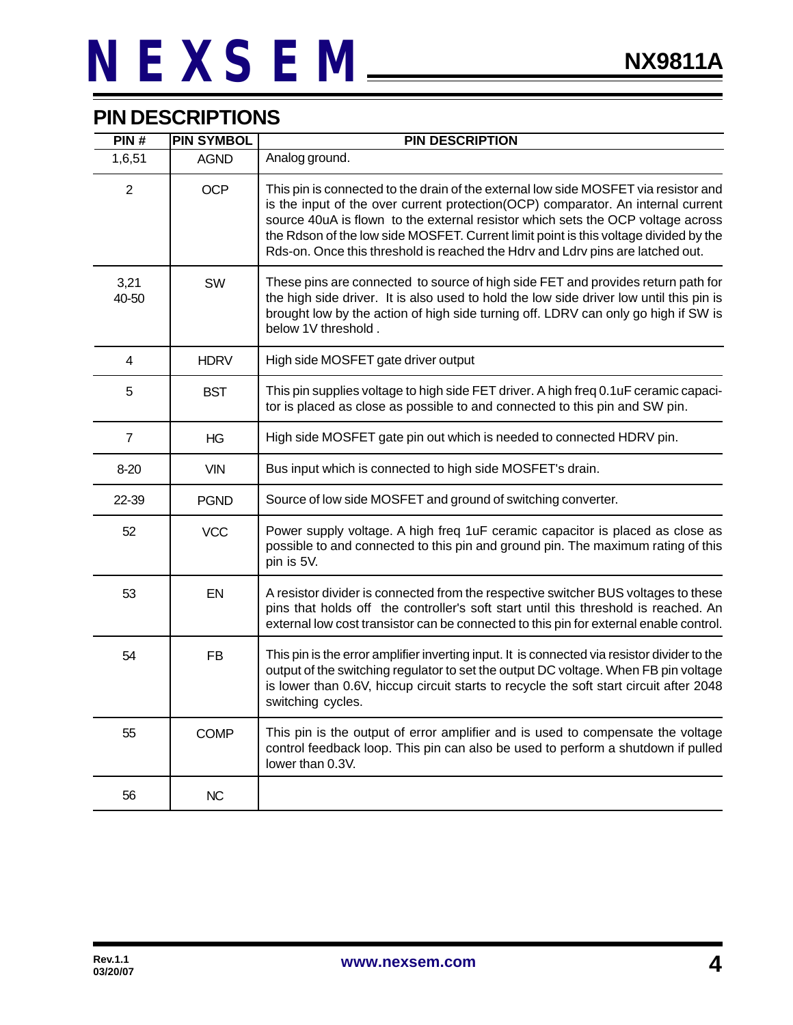### **PIN DESCRIPTIONS**

| PIN#           | <b>PIN SYMBOL</b> | <b>PIN DESCRIPTION</b>                                                                                                                                                                                                                                                                                                                                                                                                               |
|----------------|-------------------|--------------------------------------------------------------------------------------------------------------------------------------------------------------------------------------------------------------------------------------------------------------------------------------------------------------------------------------------------------------------------------------------------------------------------------------|
| 1,6,51         | <b>AGND</b>       | Analog ground.                                                                                                                                                                                                                                                                                                                                                                                                                       |
| $\overline{2}$ | <b>OCP</b>        | This pin is connected to the drain of the external low side MOSFET via resistor and<br>is the input of the over current protection(OCP) comparator. An internal current<br>source 40uA is flown to the external resistor which sets the OCP voltage across<br>the Rdson of the low side MOSFET. Current limit point is this voltage divided by the<br>Rds-on. Once this threshold is reached the Hdrv and Ldrv pins are latched out. |
| 3,21<br>40-50  | SW                | These pins are connected to source of high side FET and provides return path for<br>the high side driver. It is also used to hold the low side driver low until this pin is<br>brought low by the action of high side turning off. LDRV can only go high if SW is<br>below 1V threshold.                                                                                                                                             |
| 4              | <b>HDRV</b>       | High side MOSFET gate driver output                                                                                                                                                                                                                                                                                                                                                                                                  |
| 5              | <b>BST</b>        | This pin supplies voltage to high side FET driver. A high freq 0.1uF ceramic capaci-<br>tor is placed as close as possible to and connected to this pin and SW pin.                                                                                                                                                                                                                                                                  |
| $\overline{7}$ | ΗG                | High side MOSFET gate pin out which is needed to connected HDRV pin.                                                                                                                                                                                                                                                                                                                                                                 |
| $8 - 20$       | <b>VIN</b>        | Bus input which is connected to high side MOSFET's drain.                                                                                                                                                                                                                                                                                                                                                                            |
| 22-39          | <b>PGND</b>       | Source of low side MOSFET and ground of switching converter.                                                                                                                                                                                                                                                                                                                                                                         |
| 52             | <b>VCC</b>        | Power supply voltage. A high freq 1uF ceramic capacitor is placed as close as<br>possible to and connected to this pin and ground pin. The maximum rating of this<br>pin is 5V.                                                                                                                                                                                                                                                      |
| 53             | EN                | A resistor divider is connected from the respective switcher BUS voltages to these<br>pins that holds off the controller's soft start until this threshold is reached. An<br>external low cost transistor can be connected to this pin for external enable control.                                                                                                                                                                  |
| 54             | <b>FB</b>         | This pin is the error amplifier inverting input. It is connected via resistor divider to the<br>output of the switching regulator to set the output DC voltage. When FB pin voltage<br>is lower than 0.6V, hiccup circuit starts to recycle the soft start circuit after 2048<br>switching cycles.                                                                                                                                   |
| 55             | <b>COMP</b>       | This pin is the output of error amplifier and is used to compensate the voltage<br>control feedback loop. This pin can also be used to perform a shutdown if pulled<br>lower than 0.3V.                                                                                                                                                                                                                                              |
| 56             | <b>NC</b>         |                                                                                                                                                                                                                                                                                                                                                                                                                                      |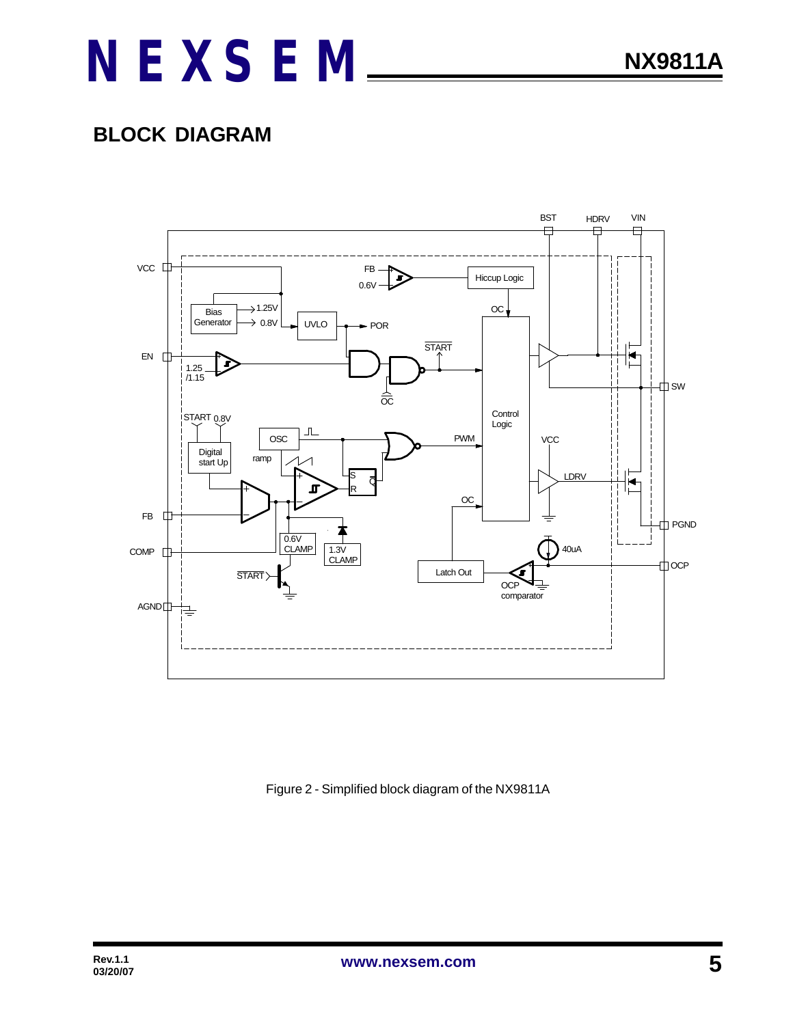### **BLOCK DIAGRAM**



Figure 2 - Simplified block diagram of the NX9811A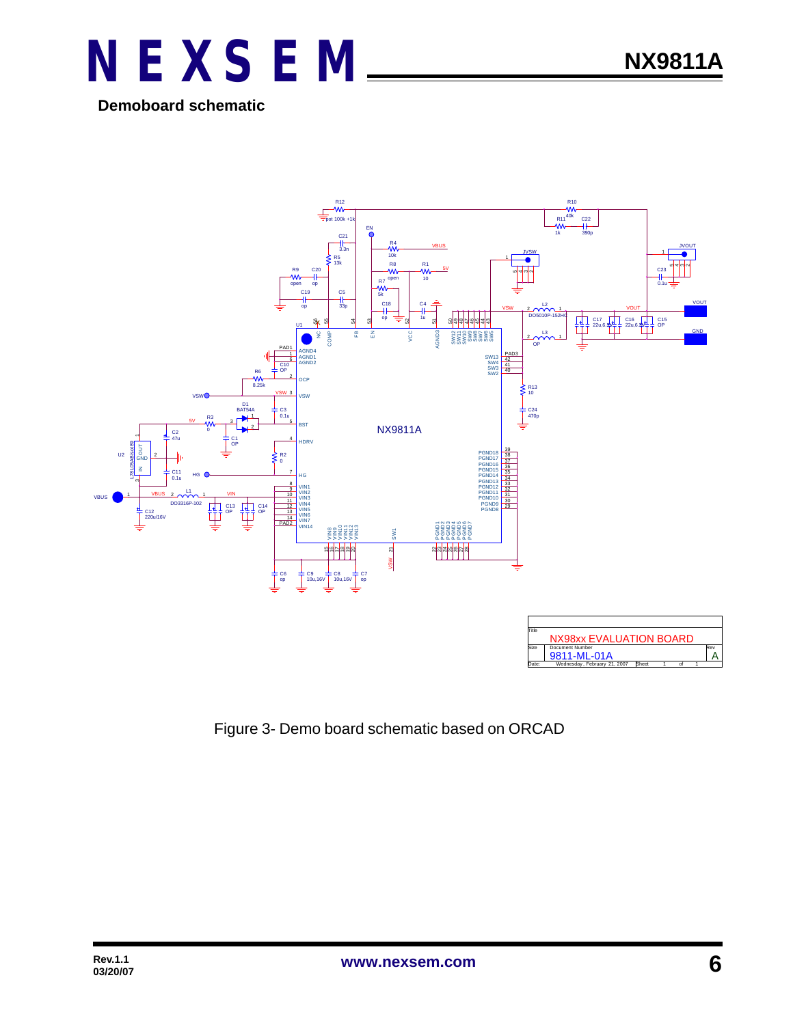

**Demoboard schematic**



Figure 3- Demo board schematic based on ORCAD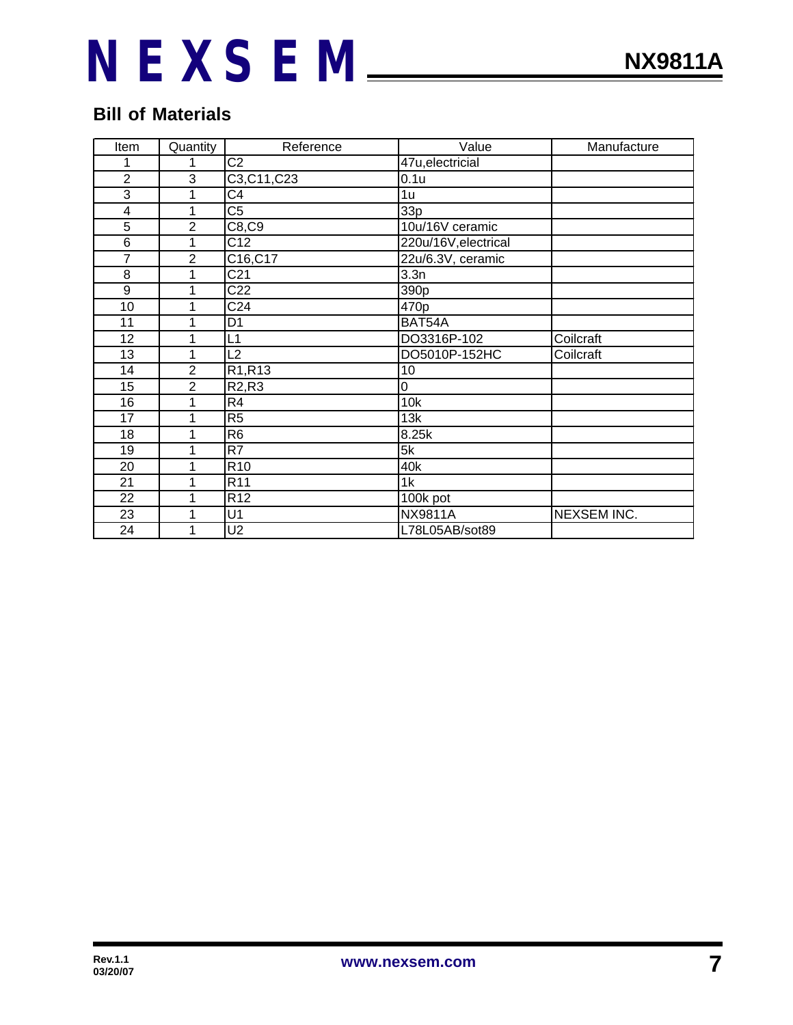### **Bill of Materials**

| Item                    | Quantity       | Reference                      | Value                | Manufacture        |
|-------------------------|----------------|--------------------------------|----------------------|--------------------|
| 1                       | 1              | $\overline{C2}$                | 47u, electricial     |                    |
| $\overline{2}$          | 3              | C3, C11, C23                   | 0.1 <sub>u</sub>     |                    |
| 3                       | 1              | $\overline{C4}$                | 1 <sub>u</sub>       |                    |
| $\overline{\mathbf{4}}$ | 1              | $\overline{\text{C5}}$         | 33p                  |                    |
| 5                       | $\overline{2}$ | C8, C9                         | 10u/16V ceramic      |                    |
| 6                       | 1              | $\overline{C12}$               | 220u/16V, electrical |                    |
| $\overline{7}$          | $\overline{2}$ | C16, C17                       | 22u/6.3V, ceramic    |                    |
| 8                       | 1              | C <sub>21</sub>                | 3.3n                 |                    |
| 9                       | 1              | C <sub>22</sub>                | 390 <sub>p</sub>     |                    |
| 10                      | 1              | C <sub>24</sub>                | 470p                 |                    |
| 11                      | 1              | D <sub>1</sub>                 | BAT54A               |                    |
| 12                      | 1              | L1                             | DO3316P-102          | Coilcraft          |
| 13                      | 1              | L2                             | DO5010P-152HC        | Coilcraft          |
| 14                      | $\overline{2}$ | R1,R13                         | 10                   |                    |
| 15                      | $\overline{2}$ | R <sub>2</sub> ,R <sub>3</sub> | 0                    |                    |
| 16                      | 1              | $\overline{R4}$                | 10k                  |                    |
| 17                      | 1              | $\overline{R5}$                | 13k                  |                    |
| 18                      | 1              | $\overline{R6}$                | 8.25k                |                    |
| 19                      | $\mathbf{1}$   | $\overline{R7}$                | $\overline{5k}$      |                    |
| 20                      | 1              | R10                            | 40k                  |                    |
| 21                      | 1              | R <sub>11</sub>                | 1k                   |                    |
| 22                      | 1              | R <sub>12</sub>                | 100k pot             |                    |
| 23                      | 1              | U1                             | <b>NX9811A</b>       | <b>NEXSEM INC.</b> |
| 24                      | 1              | U <sub>2</sub>                 | L78L05AB/sot89       |                    |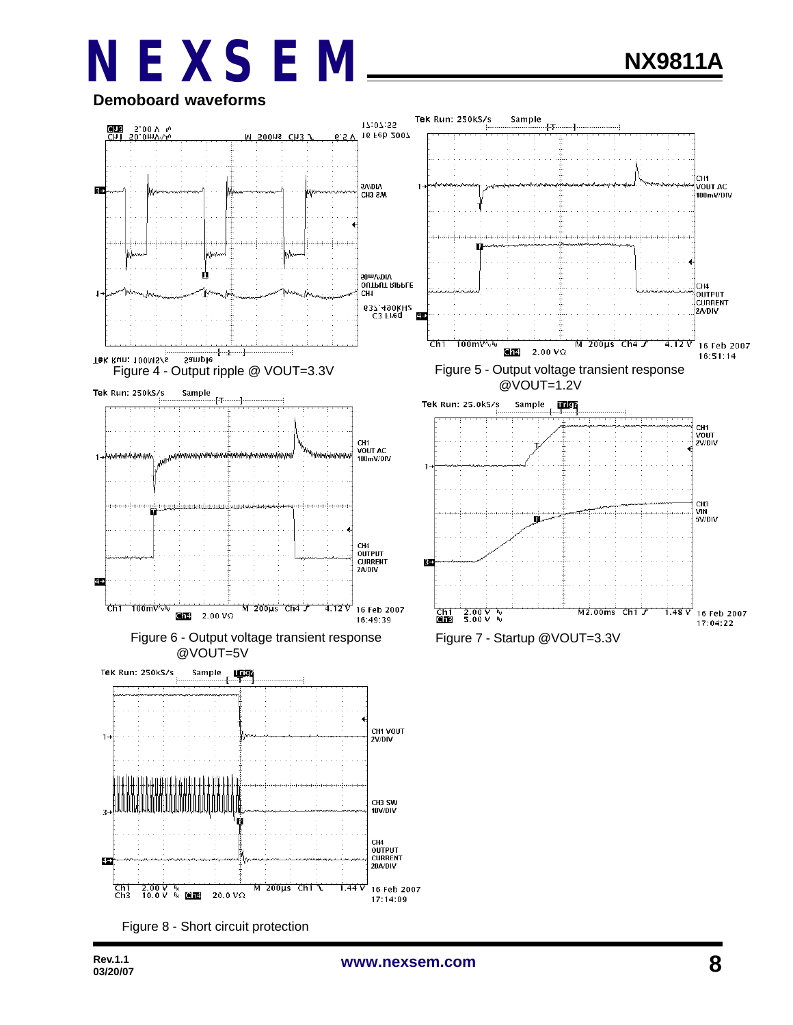

Figure 8 - Short circuit protection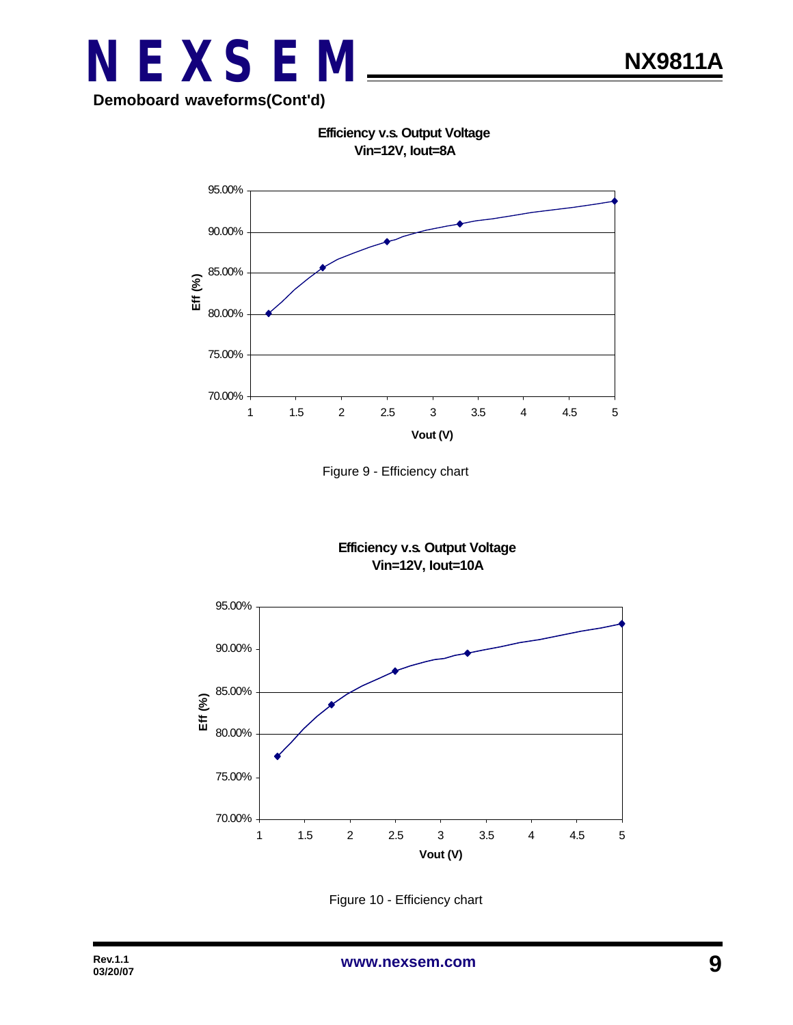

**Efficiency v.s. Output Voltage Vin=12V, Iout=8A**



Figure 9 - Efficiency chart





Figure 10 - Efficiency chart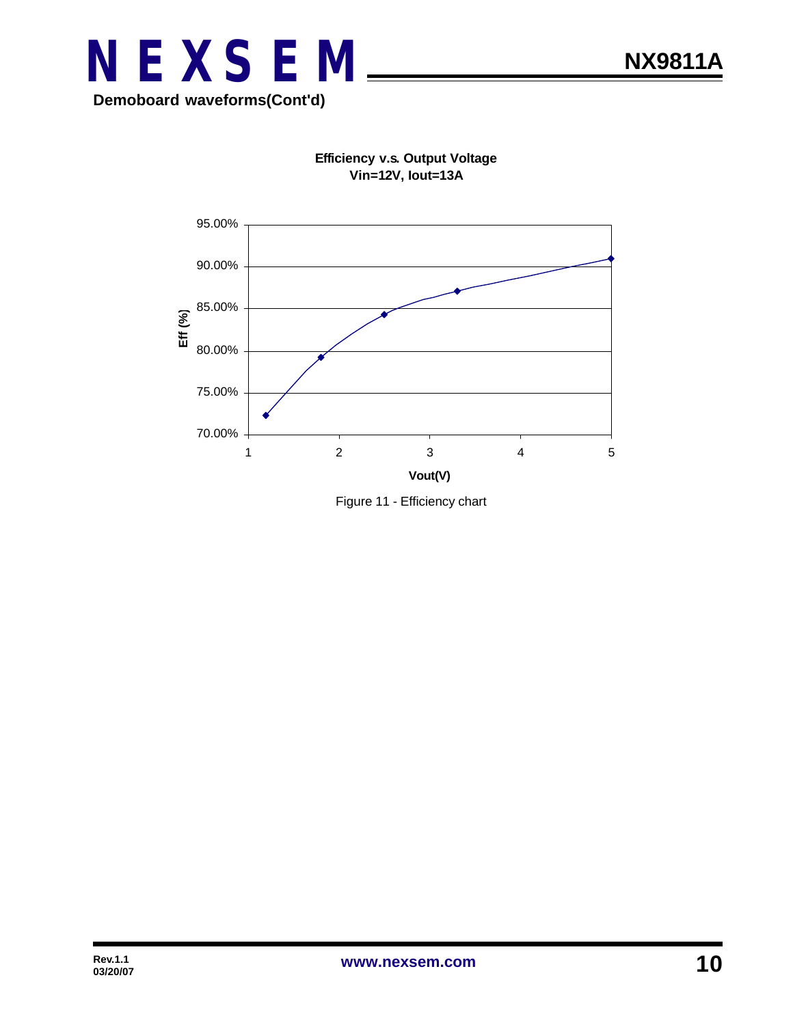



**Efficiency v.s. Output Voltage Vin=12V, Iout=13A**

Figure 11 - Efficiency chart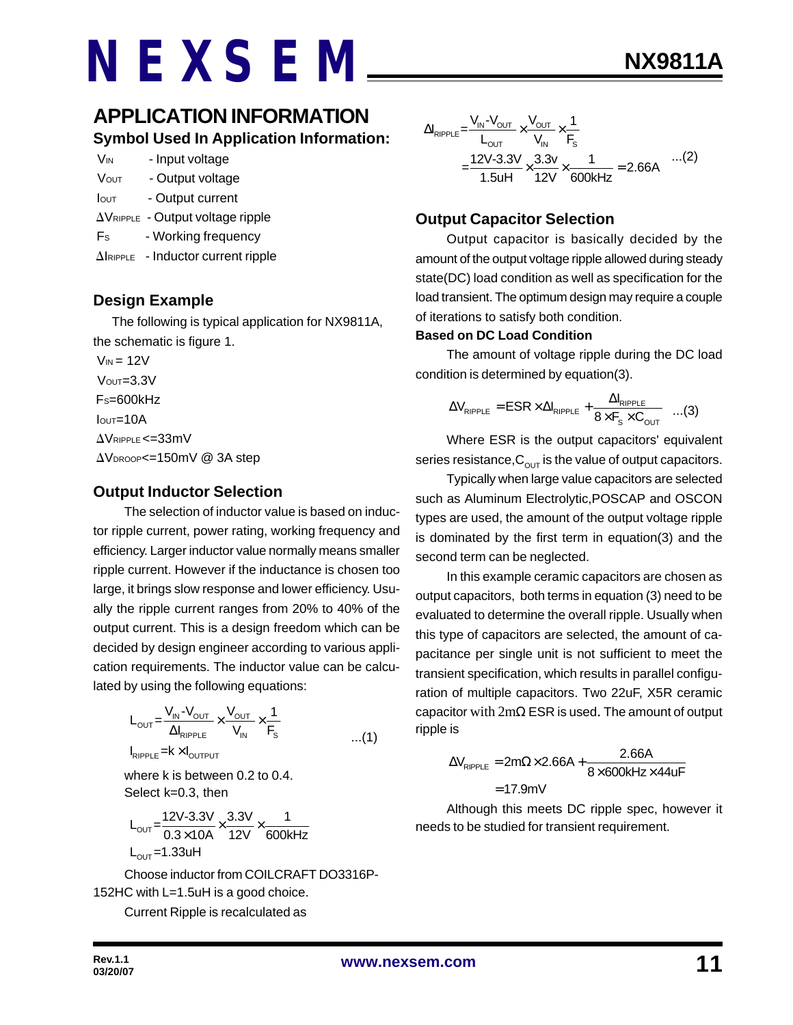### **APPLICATION INFORMATION Symbol Used In Application Information:**

| Vin          | - Input voltage                                    |
|--------------|----------------------------------------------------|
| Vout         | - Output voltage                                   |
| <b>I</b> out | - Output current                                   |
|              | $\Delta V_{\text{RIPPLE}}$ - Output voltage ripple |
| Es           | - Working frequency                                |

 $\Delta$ IRIPPLE - Inductor current ripple

#### **Design Example**

 The following is typical application for NX9811A, the schematic is figure 1.

 $V_{IN}$  = 12V  $V<sub>OUT</sub>=3.3V$  $Fs=600kHz$  $I<sub>OUT</sub>=10A$  $\Lambda$ VRIPPLE <= 33mV  $\Delta$ V<sub>DROOP</sub><=150mV @ 3A step

#### **Output Inductor Selection**

The selection of inductor value is based on inductor ripple current, power rating, working frequency and efficiency. Larger inductor value normally means smaller ripple current. However if the inductance is chosen too large, it brings slow response and lower efficiency. Usually the ripple current ranges from 20% to 40% of the output current. This is a design freedom which can be decided by design engineer according to various application requirements. The inductor value can be calculated by using the following equations:

$$
L_{\text{OUT}} = \frac{V_{\text{IN}} - V_{\text{OUT}}}{\Delta I_{\text{RIPPLE}}} \times \frac{V_{\text{OUT}}}{V_{\text{IN}}} \times \frac{1}{F_s}
$$
  
\n
$$
I_{\text{RIPPLE}} = k \times I_{\text{OUTPUT}}
$$

where k is between 0.2 to 0.4. Select k=0.3, then

$$
L_{\text{OUT}} = \frac{12V\text{-}3.3V}{0.3 \times 10A} \times \frac{3.3V}{12V} \times \frac{1}{600kHz}
$$
  
L\_{\text{OUT}} = 1.33uH

Choose inductor from COILCRAFT DO3316P-152HC with L=1.5uH is a good choice.

Current Ripple is recalculated as

$$
\Delta I_{RIPPLE} = \frac{V_{IN} - V_{OUT}}{L_{OUT}} \times \frac{V_{OUT}}{V_{IN}} \times \frac{1}{F_s}
$$
  
= 
$$
\frac{12V - 3.3V}{1.5uH} \times \frac{3.3v}{12V} \times \frac{1}{600kHz} = 2.66A
$$
...(2)

#### **Output Capacitor Selection**

Output capacitor is basically decided by the amount of the output voltage ripple allowed during steady state(DC) load condition as well as specification for the load transient. The optimum design may require a couple of iterations to satisfy both condition.

#### **Based on DC Load Condition**

The amount of voltage ripple during the DC load condition is determined by equation(3).

$$
\Delta V_{\text{RIPPLE}} = \text{ESR} \times \Delta I_{\text{RIPPLE}} + \frac{\Delta I_{\text{RIPPLE}}}{8 \times F_s \times C_{\text{OUT}}} \quad ...(3)
$$

Where ESR is the output capacitors' equivalent series resistance,  $C_{\text{OUT}}$  is the value of output capacitors.

Typically when large value capacitors are selected such as Aluminum Electrolytic,POSCAP and OSCON types are used, the amount of the output voltage ripple is dominated by the first term in equation(3) and the second term can be neglected.

In this example ceramic capacitors are chosen as output capacitors, both terms in equation (3) need to be evaluated to determine the overall ripple. Usually when this type of capacitors are selected, the amount of capacitance per single unit is not sufficient to meet the transient specification, which results in parallel configuration of multiple capacitors. Two 22uF, X5R ceramic capacitor with 2mΩ ESR is used. The amount of output ripple is

$$
\Delta V_{\text{RIPPLE}} = 2m\Omega \times 2.66A + \frac{2.66A}{8 \times 600 \text{kHz} \times 44 \text{uF}}
$$

$$
= 17.9 \text{mV}
$$

Although this meets DC ripple spec, however it needs to be studied for transient requirement.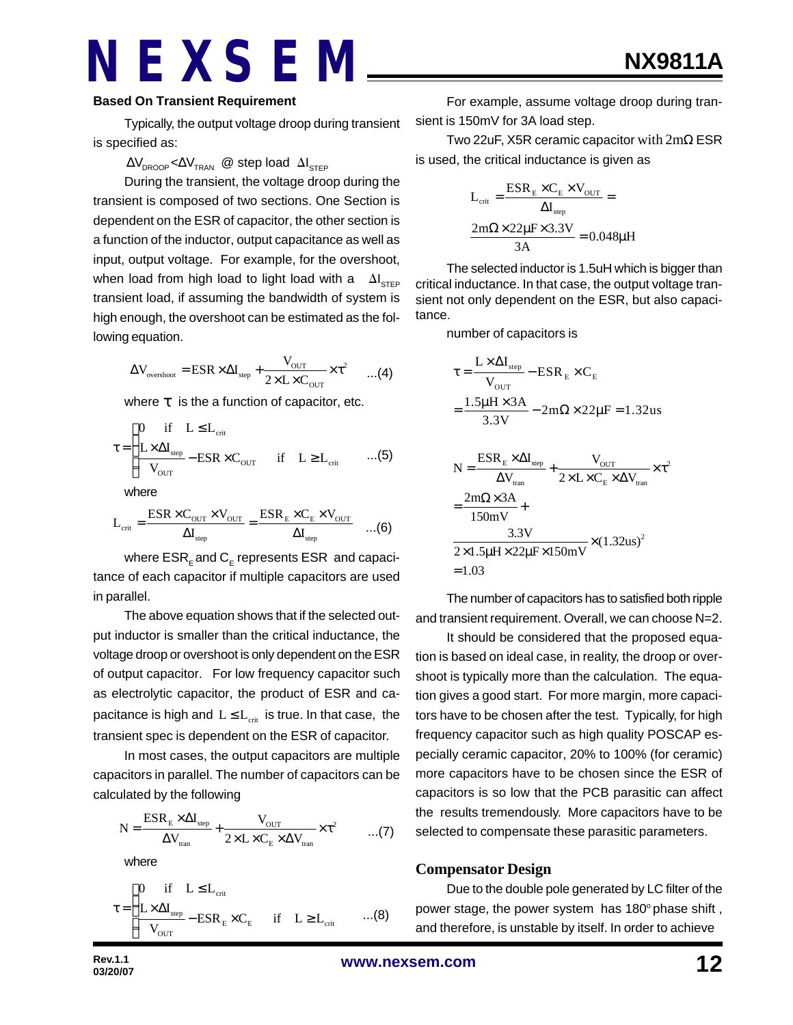Typically, the output voltage droop during transient is specified as:

#### $\Delta\mathsf{V}_{\mathsf{DROOP}}{\,<} \Delta\mathsf{V}_{\mathsf{TRAN}}$  @ step load  $\Delta\mathsf{I}_{\mathsf{STEP}}$

During the transient, the voltage droop during the transient is composed of two sections. One Section is dependent on the ESR of capacitor, the other section is a function of the inductor, output capacitance as well as input, output voltage. For example, for the overshoot, when load from high load to light load with a  $\Delta I_{\text{STEP}}$ transient load, if assuming the bandwidth of system is high enough, the overshoot can be estimated as the following equation.

$$
\Delta V_{\text{overshoot}} = \text{ESR} \times \Delta I_{\text{step}} + \frac{V_{\text{OUT}}}{2 \times L \times C_{\text{OUT}}} \times \tau^2 \qquad \dots (4)
$$

where *t* is the a function of capacitor, etc.

$$
\tau = \begin{cases}\n0 & \text{if} \quad L \leq L_{\text{crit}} \\
\frac{L \times \Delta I_{\text{step}}}{V_{\text{OUT}}} - \text{ESR} \times C_{\text{OUT}} & \text{if} \quad L \geq L_{\text{crit}} \quad \quad ...(5)\n\end{cases}
$$

where

$$
L_{\rm crit} = \frac{ESR \times C_{\rm OUT} \times V_{\rm OUT}}{\Delta I_{\rm step}} = \frac{ESR_{\rm E} \times C_{\rm E} \times V_{\rm OUT}}{\Delta I_{\rm step}} \quad \ldots \text{(6)}
$$

where  $\mathsf{ESR}_\mathsf{E}$  and  $\mathsf{C}_\mathsf{E}$  represents  $\mathsf{ESR}\,$  and capacitance of each capacitor if multiple capacitors are used in parallel.

The above equation shows that if the selected output inductor is smaller than the critical inductance, the voltage droop or overshoot is only dependent on the ESR of output capacitor. For low frequency capacitor such as electrolytic capacitor, the product of ESR and capacitance is high and  $L \leq L_{crit}$  is true. In that case, the transient spec is dependent on the ESR of capacitor.

In most cases, the output capacitors are multiple capacitors in parallel. The number of capacitors can be calculated by the following

$$
N = \frac{ESR_{E} \times \Delta I_{\text{step}}}{\Delta V_{\text{tran}}} + \frac{V_{\text{OUT}}}{2 \times L \times C_{E} \times \Delta V_{\text{tran}}} \times \tau^{2} \qquad ...(7)
$$

where

$$
\tau = \begin{cases} 0 & \text{if} \quad L \leq L_{\text{crit}} \\ \frac{L \times \Delta I_{\text{step}}}{V_{\text{OUT}}} - ESR_{\text{E}} \times C_{\text{E}} & \text{if} \quad L \geq L_{\text{crit}} \end{cases} \tag{8}
$$

For example, assume voltage droop during transient is 150mV for 3A load step.

Two 22uF, X5R ceramic capacitor with 2mΩ ESR is used, the critical inductance is given as

$$
L_{\text{crit}} = \frac{ESR_{\text{E}} \times C_{\text{E}} \times V_{\text{OUT}}}{\Delta I_{\text{step}}} =
$$

$$
\frac{2m\Omega \times 22\mu\text{F} \times 3.3\text{V}}{3\text{A}} = 0.048\mu\text{H}
$$

The selected inductor is 1.5uH which is bigger than critical inductance. In that case, the output voltage transient not only dependent on the ESR, but also capacitance.

number of capacitors is

$$
\tau = \frac{L \times \Delta I_{\text{step}}}{V_{\text{OUT}}} - \text{ESR}_{E} \times C_{E}
$$
\n
$$
= \frac{1.5 \mu H \times 3A}{3.3 V} - 2 \text{m}\Omega \times 22 \mu F = 1.32 \text{us}
$$
\n
$$
N = \frac{\text{ESR}_{E} \times \Delta I_{\text{step}}}{\Delta V_{\text{tran}}} + \frac{V_{\text{OUT}}}{2 \times L \times C_{E} \times \Delta V_{\text{tran}}} \times \tau^{2}
$$
\n
$$
= \frac{2 \text{m}\Omega \times 3A}{150 \text{mV}} + \frac{3.3 V}{2 \times 1.5 \mu H \times 22 \mu F \times 150 \text{mV}} \times (1.32 \text{us})^{2}
$$
\n= 1.03

The number of capacitors has to satisfied both ripple and transient requirement. Overall, we can choose N=2.

It should be considered that the proposed equation is based on ideal case, in reality, the droop or overshoot is typically more than the calculation. The equation gives a good start. For more margin, more capacitors have to be chosen after the test. Typically, for high frequency capacitor such as high quality POSCAP especially ceramic capacitor, 20% to 100% (for ceramic) more capacitors have to be chosen since the ESR of capacitors is so low that the PCB parasitic can affect the results tremendously. More capacitors have to be selected to compensate these parasitic parameters.

#### **Compensator Design**

Due to the double pole generated by LC filter of the power stage, the power system has 180° phase shift, and therefore, is unstable by itself. In order to achieve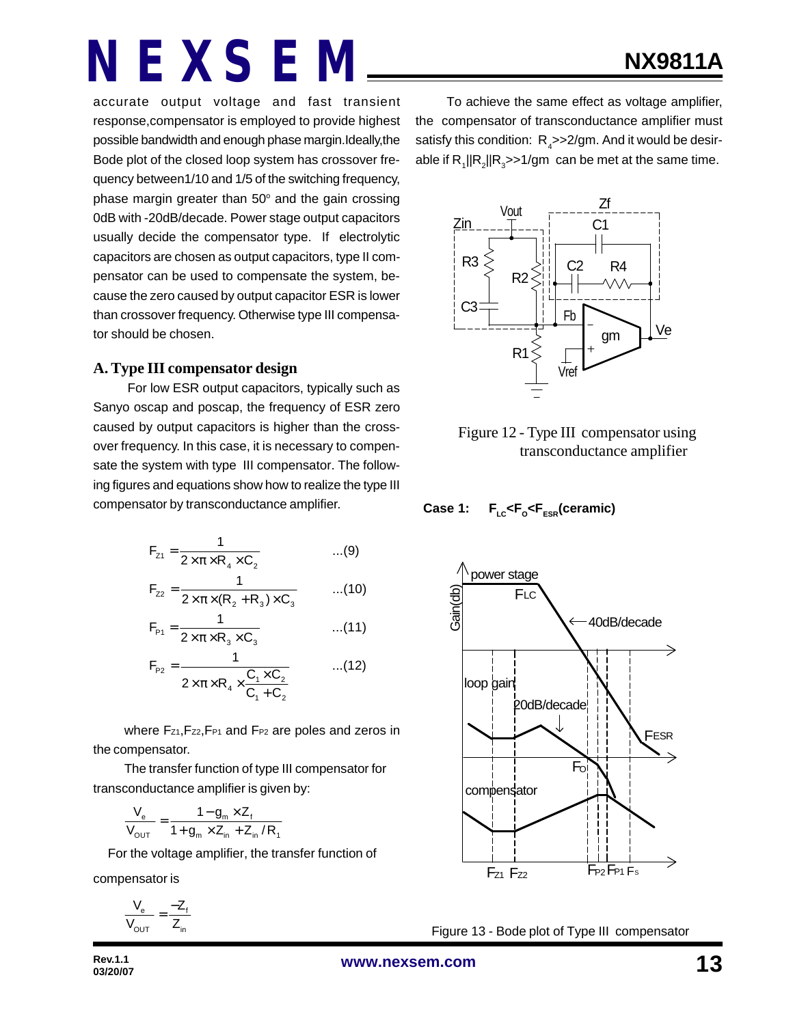accurate output voltage and fast transient response,compensator is employed to provide highest possible bandwidth and enough phase margin.Ideally,the Bode plot of the closed loop system has crossover frequency between1/10 and 1/5 of the switching frequency, phase margin greater than  $50^{\circ}$  and the gain crossing 0dB with -20dB/decade. Power stage output capacitors usually decide the compensator type. If electrolytic capacitors are chosen as output capacitors, type II compensator can be used to compensate the system, because the zero caused by output capacitor ESR is lower than crossover frequency. Otherwise type III compensator should be chosen.

#### **A. Type III compensator design**

 For low ESR output capacitors, typically such as Sanyo oscap and poscap, the frequency of ESR zero caused by output capacitors is higher than the crossover frequency. In this case, it is necessary to compensate the system with type III compensator. The following figures and equations show how to realize the type III compensator by transconductance amplifier.

$$
F_{z_1} = \frac{1}{2 \times \pi \times R_4 \times C_2}
$$
...(9)

$$
F_{22} = \frac{1}{2 \times \pi \times (R_2 + R_3) \times C_3}
$$
...(10)

$$
F_{p_1} = \frac{1}{2 \times \pi \times R_3 \times C_3}
$$
...(11)

$$
F_{p_2} = \frac{1}{2 \times \pi \times R_4 \times \frac{C_1 \times C_2}{C_1 + C_2}}
$$
...(12)

where Fz1, Fz2, F<sub>P1</sub> and F<sub>P2</sub> are poles and zeros in the compensator.

The transfer function of type III compensator for transconductance amplifier is given by:

$$
\frac{V_{e}}{V_{\text{OUT}}} = \frac{1 - g_{m} \times Z_{f}}{1 + g_{m} \times Z_{in} + Z_{in} / R_{1}}
$$

For the voltage amplifier, the transfer function of

compensator is

$$
\frac{V_e}{V_{OUT}} = \frac{-Z_f}{Z_{in}}
$$

To achieve the same effect as voltage amplifier, the compensator of transconductance amplifier must satisfy this condition:  $R_{\textit{\tiny{A}}}$ >>2/gm. And it would be desirable if  $R_1$ || $R_2$ || $R_3$ >>1/gm can be met at the same time.





**Case 1: FLC<F<sup>O</sup> <FESR(ceramic)**



Figure 13 - Bode plot of Type III compensator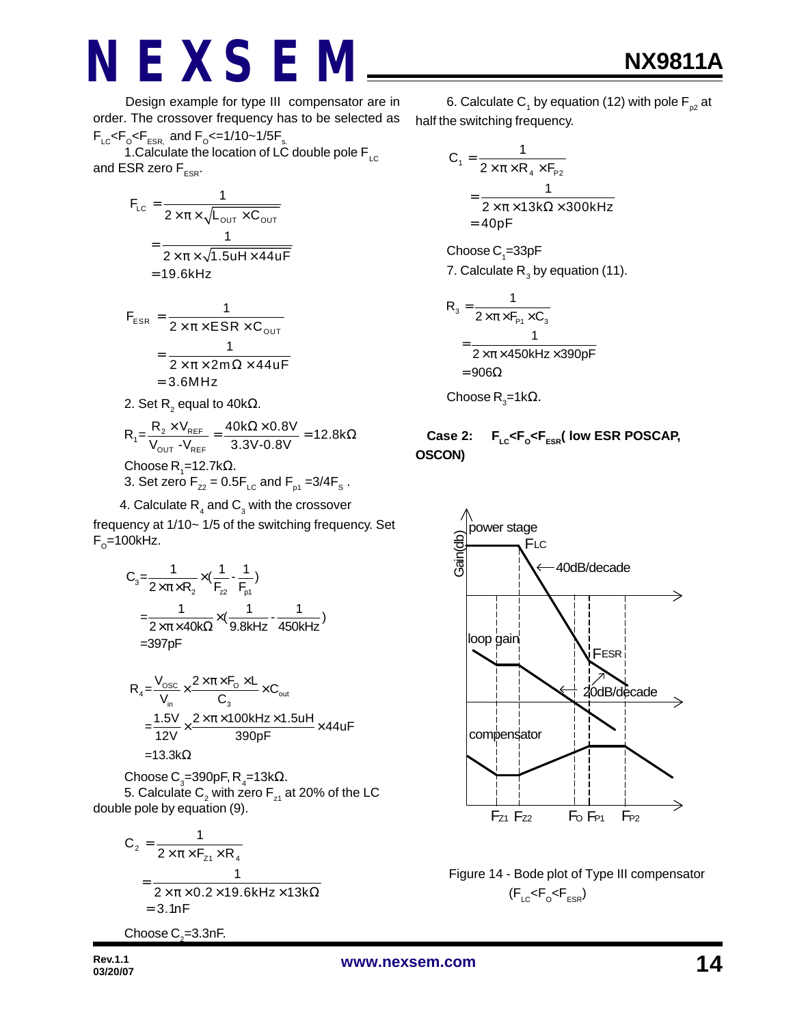Design example for type III compensator are in order. The crossover frequency has to be selected as  $F_{LC}$ < $F_{\rm o}$ < $F_{ESR_s}$  and  $F_{\rm o}$ <=1/10~1/5 $F_{\rm s}$ .

1. Calculate the location of LC double pole  $F_{\text{LC}}$ and ESR zero  $F_{ESR}$ .

$$
F_{LC} = \frac{1}{2 \times \pi \times \sqrt{L_{OUT} \times C_{OUT}}}
$$

$$
= \frac{1}{2 \times \pi \times \sqrt{1.5uH \times 44uF}}
$$

$$
= 19.6kHz
$$

$$
F_{ESR} = \frac{1}{2 \times \pi \times ESR \times C_{OUT}}
$$
  
= 
$$
\frac{1}{2 \times \pi \times 2m\Omega \times 44uF}
$$
  
= 3.6MHz

2. Set 
$$
R_2
$$
 equal to  $40k\Omega$ .

$$
R_1 = \frac{R_2 \times V_{REF}}{V_{OUT} - V_{REF}} = \frac{40k\Omega \times 0.8V}{3.3V - 0.8V} = 12.8k\Omega
$$
  
Choose R<sub>1</sub>=12.7k $\Omega$ .  
3. Set zero F<sub>z2</sub> = 0.5F<sub>LC</sub> and F<sub>p1</sub> = 3/4F<sub>s</sub>.

4. Calculate  $R_4$  and  $C_3$  with the crossover

frequency at 1/10~ 1/5 of the switching frequency. Set  $F_{\rm o}$ =100kHz.

$$
C_{3} = \frac{1}{2 \times \pi \times R_{2}} \times (\frac{1}{F_{22}} - \frac{1}{F_{p1}})
$$
  
=  $\frac{1}{2 \times \pi \times 40k\Omega} \times (\frac{1}{9.8kHz} - \frac{1}{450kHz})$   
= 397pF

$$
R_4 = \frac{V_{\text{osc}}}{V_{\text{in}}} \times \frac{2 \times \pi \times F_0 \times L}{C_3} \times C_{\text{out}}
$$
  
= 
$$
\frac{1.5V}{12V} \times \frac{2 \times \pi \times 100kHz \times 1.5uH}{390pF} \times 44uF
$$
  
= 13.3k $\Omega$ 

Choose C $_{3}$ =390pF, R $_{4}$ =13kΩ. 5. Calculate  $\mathsf{C}_\mathsf{2}$  with zero  $\mathsf{F}_\mathsf{z_1}$  at 20% of the LC double pole by equation (9).

$$
C_2 = \frac{1}{2 \times \pi \times F_{z_1} \times R_4}
$$
  
= 
$$
\frac{1}{2 \times \pi \times 0.2 \times 19.6 \text{kHz} \times 13 \text{k}\Omega}
$$
  
= 3.1nF

Choose  $\mathrm{C}_\textit{2}$ =3.3nF.

6. Calculate C<sub>1</sub> by equation (12) with pole F<sub>p2</sub> at half the switching frequency.

$$
C_1 = \frac{1}{2 \times \pi \times R_4 \times F_{P2}}
$$
  
= 
$$
\frac{1}{2 \times \pi \times 13k\Omega \times 300kHz}
$$
  
= 40pF

 $\mathsf{Choose}\, \mathsf{C}_\text{\!i}=33\text{pF}$ 7. Calculate  $\mathsf{R}_{_{3}}$  by equation (11).

$$
R_{3} = \frac{1}{2 \times \pi \times F_{P1} \times C_{3}}
$$
  
= 
$$
\frac{1}{2 \times \pi \times 450 \text{kHz} \times 390 \text{pF}}
$$
  
= 
$$
906\Omega
$$

Choose R $_{3}$ =1kΩ.

#### **Case 2: FLC<F<sup>O</sup> <FESR( low ESR POSCAP, OSCON)**



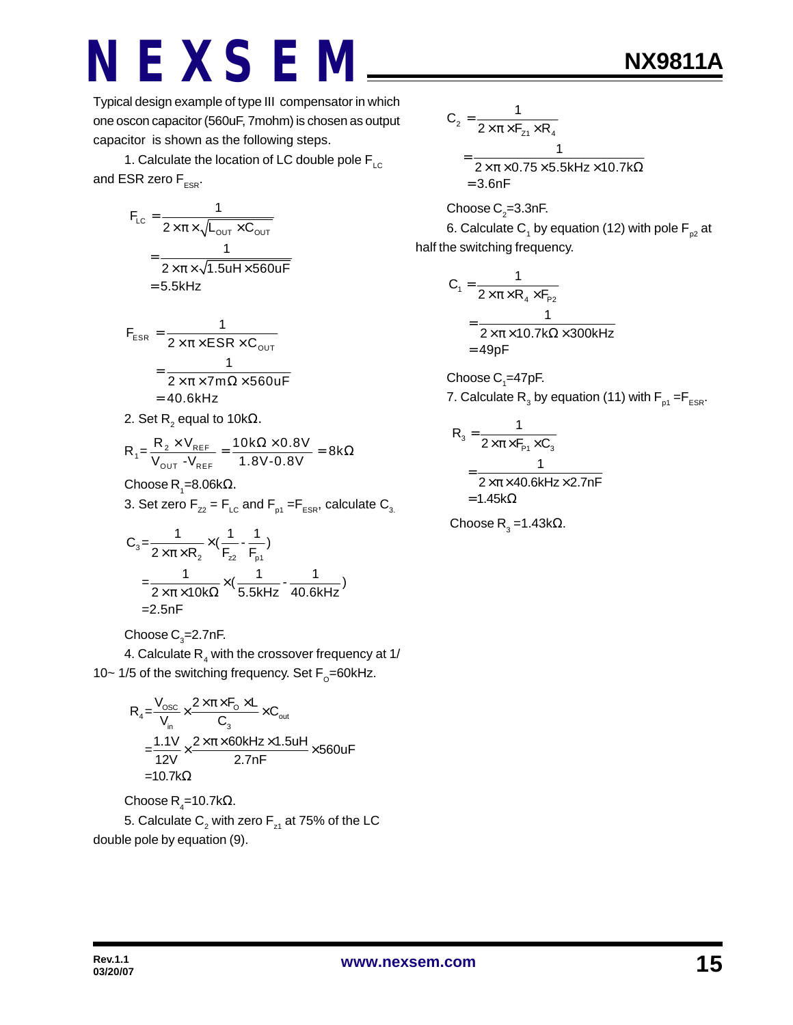Typical design example of type III compensator in which one oscon capacitor (560uF, 7mohm) is chosen as output capacitor is shown as the following steps.

1. Calculate the location of LC double pole  $F_{LC}$ and ESR zero  $F_{ESR}$ .

$$
F_{LC} = \frac{1}{2 \times \pi \times \sqrt{L_{OUT} \times C_{OUT}}}
$$

$$
= \frac{1}{2 \times \pi \times \sqrt{1.5uH \times 560uF}}
$$

$$
= 5.5kHz
$$

$$
F_{ESR} = \frac{1}{2 \times \pi \times ESR \times C_{OUT}}
$$
  
= 
$$
\frac{1}{2 \times \pi \times 7m\Omega \times 560uF}
$$
  
= 40.6kHz

2. Set R $_{_2}$  equal to 10k $\Omega_\cdot$ 

$$
R_{1} = \frac{R_{2} \times V_{REF}}{V_{OUT} - V_{REF}} = \frac{10k\Omega \times 0.8V}{1.8V - 0.8V} = 8k\Omega
$$

Choose R<sub>1</sub>=8.06kΩ.

3. Set zero  $F_{Z2} = F_{LC}$  and  $F_{p1} = F_{ESR}$ , calculate  $C_{3}$ .

$$
C_3 = \frac{1}{2 \times \pi \times R_2} \times (\frac{1}{F_{22}} - \frac{1}{F_{p1}})
$$
  
=  $\frac{1}{2 \times \pi \times 10k\Omega} \times (\frac{1}{5.5kHz} - \frac{1}{40.6kHz})$   
= 2.5nF

Choose  $\mathsf{C}_\mathsf{3}$ =2.7nF.

4. Calculate  $\mathsf{R}_{_4}$  with the crossover frequency at 1/ 10~ 1/5 of the switching frequency. Set  $F_{\rm o}$ =60kHz.

$$
R_{4} = \frac{V_{\text{osc}}}{V_{\text{in}}} \times \frac{2 \times \pi \times F_{\text{o}} \times L}{C_{3}} \times C_{\text{out}}
$$
  
= 
$$
\frac{1.1 V}{12 V} \times \frac{2 \times \pi \times 60 k H z \times 1.5 u H}{2.7 nF} \times 560 u F
$$
  
= 10.7 kΩ

 $\mathsf{Choose}\, \mathsf{R}_4\mathsf{=}10.7\mathsf{k}\Omega.$ 

5. Calculate  $\mathsf{C}_\mathsf{2}$  with zero  $\mathsf{F}_\mathsf{z_1}$  at 75% of the LC double pole by equation (9).

**NX9811A**

$$
C_2 = \frac{1}{2 \times \pi \times F_{z1} \times R_4}
$$
  
= 
$$
\frac{1}{2 \times \pi \times 0.75 \times 5.5 \times Hz \times 10.7 \times \Omega}
$$
  
= 3.6nF

Choose C $_{\textrm{\tiny{2}}}$ =3.3nF. 6. Calculate C<sub>1</sub> by equation (12) with pole F<sub>p2</sub> at half the switching frequency.

$$
C_1 = \frac{1}{2 \times \pi \times R_4 \times F_{p_2}}
$$
  
= 
$$
\frac{1}{2 \times \pi \times 10.7 k\Omega \times 300kHz}
$$
  
= 49pF

Choose  $\mathsf{C}_\text{\tiny{1}}$ =47pF. 7. Calculate  $\mathsf{R}_{_{\mathsf{3}}}$  by equation (11) with  $\mathsf{F}_{_{\sf p1}}\!=\!\!\mathsf{F}_{_{\sf ESR}}.$ 

$$
R_{3} = \frac{1}{2 \times \pi \times F_{P1} \times C_{3}}
$$
  
= 
$$
\frac{1}{2 \times \pi \times 40.6 \text{kHz} \times 2.7 \text{nF}}
$$
  
= 1.45k $\Omega$ 

Choose R<sub>3</sub> = 1.43kΩ.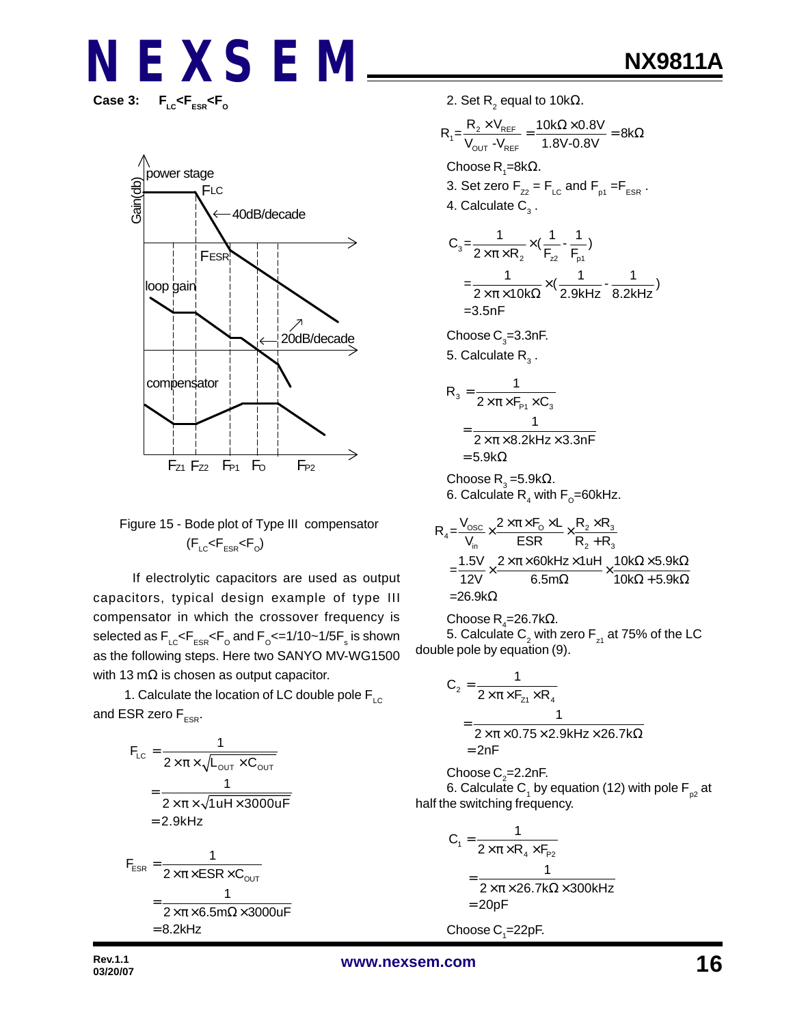Case 3:  $F_{LC}$ < $F_{ESR}$ < $F_{O}$ 



#### Figure 15 - Bode plot of Type III compensator  $(\mathsf{F}_{\text{\tiny{LC}}} \!\! < \!\! \mathsf{F}_{\text{\tiny{ESR}}} \!\! < \!\! \mathsf{F}_{\text{\tiny{O}}} )$

 If electrolytic capacitors are used as output capacitors, typical design example of type III compensator in which the crossover frequency is selected as  $\mathsf{F_{\scriptscriptstyle{LC}}}$ < $\mathsf{F_{\scriptscriptstyle{ESR}}}$ < $\mathsf{F_{\scriptscriptstyle{O}}}$  and  $\mathsf{F_{\scriptscriptstyle{O}}}$ <=1/10~1/5 $\mathsf{F_{\scriptscriptstyle{S}}}$  is shown as the following steps. Here two SANYO MV-WG1500 with 13 m $\Omega$  is chosen as output capacitor.

1. Calculate the location of LC double pole  $F_{\text{LC}}$ and ESR zero  $F_{ESR}$ .

$$
F_{LC} = \frac{1}{2 \times \pi \times \sqrt{L_{OUT} \times C_{OUT}}}
$$
  
= 
$$
\frac{1}{2 \times \pi \times \sqrt{1 uH \times 3000 uF}}
$$
  
= 2.9kHz  

$$
F_{ESR} = \frac{1}{2 \times \pi \times ESR \times C_{OUT}}
$$
  
= 
$$
\frac{1}{2 \times \pi \times 6.5 m\Omega \times 3000 uF}
$$

 $= 8.2$ kHz

2. Set R $_{2}$  equal to 10k $\Omega_{\cdot}$ 

$$
R_{1} = \frac{R_{2} \times V_{REF}}{V_{OUT} - V_{REF}} = \frac{10k\Omega \times 0.8V}{1.8V - 0.8V} = 8k\Omega
$$
  
Choose R<sub>1</sub>=8k $\Omega$ .  
3. Set zero F<sub>zz</sub> = F<sub>LC</sub> and F<sub>p1</sub> = F<sub>ESR</sub>.  
4. Calculate C<sub>3</sub>.  

$$
C_{3} = \frac{1}{2 \times \pi \times R_{2}} \times (\frac{1}{F_{z2}} - \frac{1}{F_{p1}})
$$

$$
= \frac{1}{2 \times \pi \times 10k\Omega} \times (\frac{1}{2.9kHz} - \frac{1}{8.2kHz})
$$

$$
= 3.5nF
$$

Choose  $\mathsf{C}_\mathsf{3}^{}\text{=}$ 3.3nF.

5. Calculate  $\mathsf{R}_{_{3}}$  .

$$
R_{3} = \frac{1}{2 \times \pi \times F_{P1} \times C_{3}}
$$
  
= 
$$
\frac{1}{2 \times \pi \times 8.2 \text{kHz} \times 3.3 \text{nF}}
$$
  
= 5.9 kΩ

Choose R $_{_3}$ =5.9kΩ. 6. Calculate  $\mathsf{R}_{_4}$  with  $\mathsf{F}_{_{\text{\tiny O}}}$ =60kHz.

$$
R_4 = \frac{V_{osc}}{V_{in}} \times \frac{2 \times \pi \times F_0 \times L}{ESR} \times \frac{R_2 \times R_3}{R_2 + R_3}
$$
  
= 
$$
\frac{1.5V}{12V} \times \frac{2 \times \pi \times 60kHz \times 1uH}{6.5m\Omega} \times \frac{10k\Omega \times 5.9k\Omega}{10k\Omega + 5.9k\Omega}
$$
  
= 26.9k\Omega

 $\mathsf{Choose}\, \mathsf{R}_4\!\!=\!\!26.7\mathsf{k}\Omega.$ 5. Calculate  $\mathsf{C}_\mathsf{2}$  with zero  $\mathsf{F}_\mathsf{z_1}$  at 75% of the LC double pole by equation (9).

$$
C_2 = \frac{1}{2 \times \pi \times F_{z1} \times R_4}
$$
  
= 
$$
\frac{1}{2 \times \pi \times 0.75 \times 2.9 \text{kHz} \times 26.7 \text{k}\Omega}
$$
  
= 2nF

Choose C $_{\textrm{\tiny{2}}}$ =2.2nF. 6. Calculate C<sub>1</sub> by equation (12) with pole F<sub>p2</sub> at half the switching frequency.

$$
C_1 = \frac{1}{2 \times \pi \times R_4 \times F_{p_2}}
$$
  
= 
$$
\frac{1}{2 \times \pi \times 26.7 k\Omega \times 300kHz}
$$
  
= 20pF

Choose  $\mathsf{C}_\text{\tiny{1}}$ =22pF.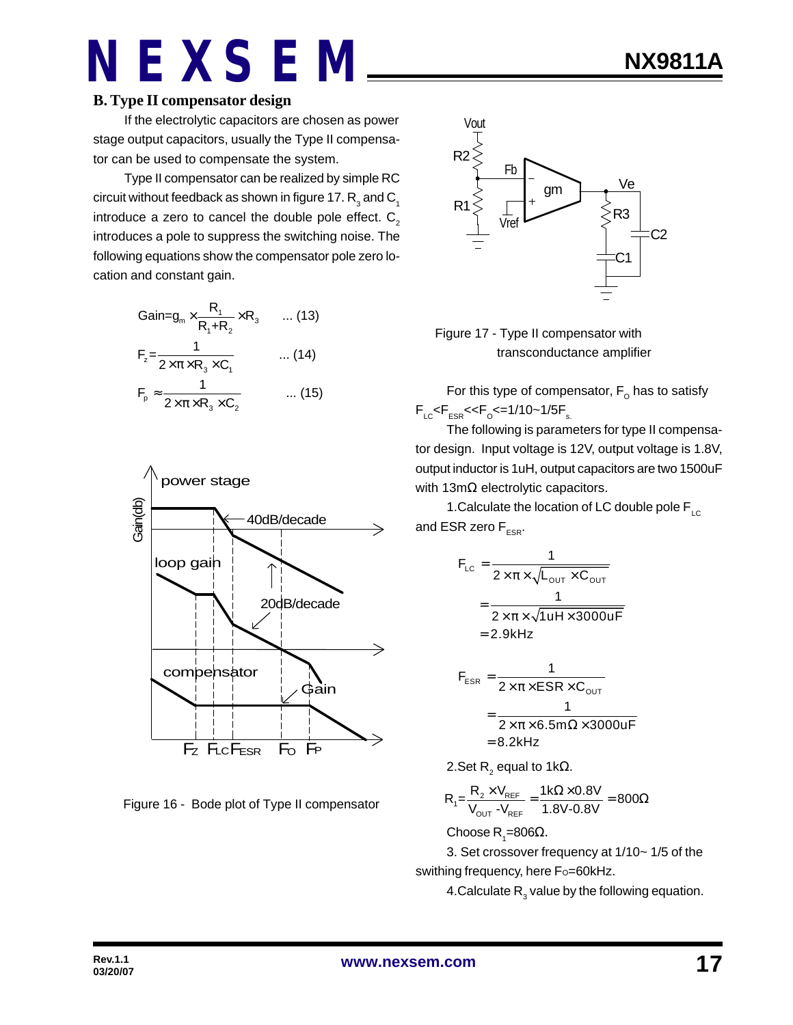#### **B. Type II compensator design**

If the electrolytic capacitors are chosen as power stage output capacitors, usually the Type II compensator can be used to compensate the system.

Type II compensator can be realized by simple RC circuit without feedback as shown in figure 17.  $\mathsf{R}_{_{\text{3}}}$  and  $\mathsf{C}_{_{\text{1}}}$ introduce a zero to cancel the double pole effect.  $C<sub>2</sub>$ introduces a pole to suppress the switching noise. The following equations show the compensator pole zero location and constant gain.

$$
Gain = g_m \times \frac{R_1}{R_1 + R_2} \times R_3 \qquad \dots (13)
$$
  
\n
$$
F_z = \frac{1}{2 \times \pi \times R_3 \times C_1} \qquad \dots (14)
$$
  
\n
$$
F_p \approx \frac{1}{2 \times \pi \times R_3 \times C_2} \qquad \dots (15)
$$



Figure 16 - Bode plot of Type II compensator



 Figure 17 - Type II compensator with transconductance amplifier

For this type of compensator,  $\mathsf{F}_\mathsf{o}$  has to satisfy  $\mathsf{F}_{\text{\tiny{LC}}}$ < $\mathsf{F}_{\text{\tiny{ESR}}}$ << $\mathsf{F}_{\text{\tiny{O}}}$ <=1/10~1/5 $\mathsf{F}_{\text{\tiny{s.}}}$ 

The following is parameters for type II compensator design. Input voltage is 12V, output voltage is 1.8V, output inductor is 1uH, output capacitors are two 1500uF with 13mΩ electrolytic capacitors.

1. Calculate the location of LC double pole  $F_{\text{LC}}$ and ESR zero  $F_{ESR}$ .

$$
F_{LC} = \frac{1}{2 \times \pi \times \sqrt{L_{OUT} \times C_{OUT}}}
$$
  
= 
$$
\frac{1}{2 \times \pi \times \sqrt{1 uH \times 3000 uF}}
$$
  
= 2.9kHz

$$
F_{ESR} = \frac{1}{2 \times \pi \times ESR \times C_{OUT}}
$$

$$
= \frac{1}{2 \times \pi \times 6.5 \text{m}\Omega \times 3000 \text{uF}}
$$

$$
= 8.2 \text{kHz}
$$

2.Set R $_{2}$  equal to 1kΩ.

$$
R_{\text{t}}\text{=} \frac{R_{\text{2}} \times V_{\text{REF}}}{V_{\text{OUT}} - V_{\text{REF}}} = \frac{1 \text{k}\Omega \times 0.8 V}{1.8 V \text{-} 0.8 V} = 800 \Omega
$$

Choose R<sub>1</sub>=806Ω.

3. Set crossover frequency at 1/10~ 1/5 of the swithing frequency, here Fo=60kHz.

4.Calculate  $\mathsf{R}_{_{3}}$  value by the following equation.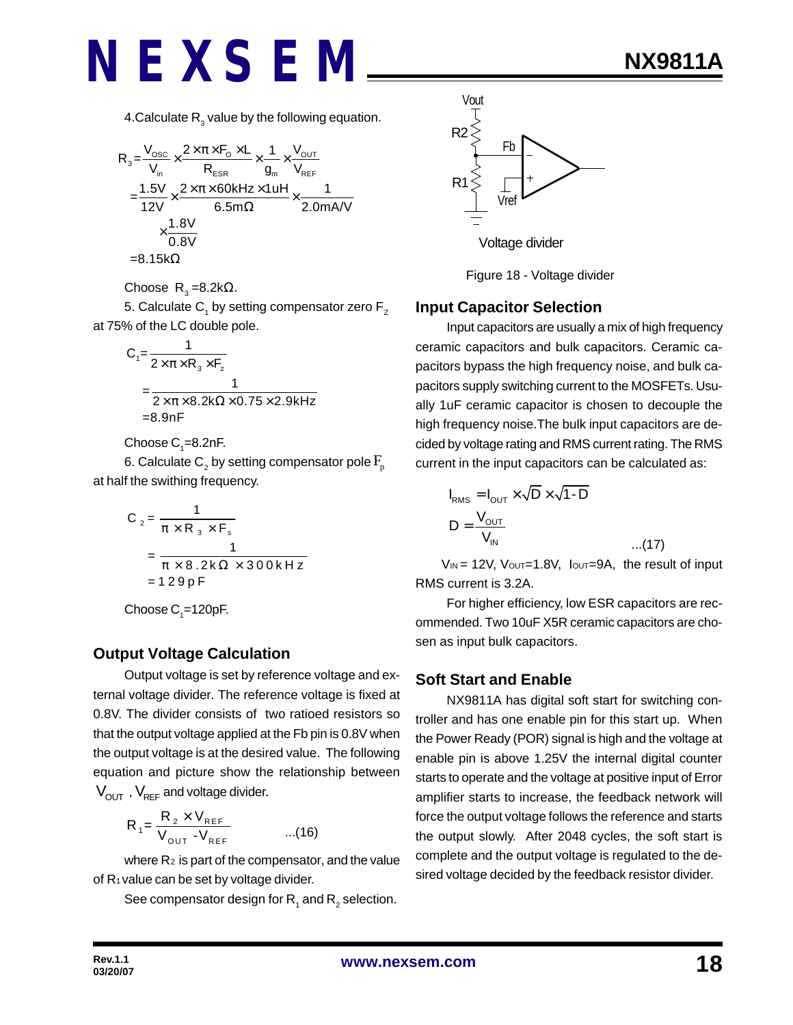4.Calculate  $\mathsf{R}_{_{3}}$  value by the following equation.

$$
R_{3} = \frac{V_{\text{osc}}}{V_{\text{in}}} \times \frac{2 \times \pi \times F_{\text{O}} \times L}{R_{\text{ESR}}} \times \frac{1}{g_{\text{in}}} \times \frac{V_{\text{OUT}}}{V_{\text{REF}}}
$$

$$
= \frac{1.5 V}{12 V} \times \frac{2 \times \pi \times 60 k H z \times 1 u H}{6.5 m \Omega} \times \frac{1}{2.0 m A/V}
$$

$$
\times \frac{1.8 V}{0.8 V}
$$

$$
= 8.15 k \Omega
$$

Choose  $\, {\sf R}_{{}_3}$ =8.2k $\Omega$ .

5. Calculate  $\mathsf{C}_\mathtt{1}$  by setting compensator zero  $\mathsf{F}_\mathtt{Z}$ at 75% of the LC double pole.

$$
C_1 = \frac{1}{2 \times \pi \times R_3 \times F_z}
$$
  
= 
$$
\frac{1}{2 \times \pi \times 8.2 \times \Omega \times 0.75 \times 2.9 \times Hz}
$$
  
=8.9nF

Choose  $C_{1}$ =8.2nF.

6. Calculate  $\mathsf{C}_\mathsf{2}$  by setting compensator pole  $\mathrm{F}_\mathsf{p}$ at half the swithing frequency.

$$
C_2 = \frac{1}{\pi \times R_3 \times F_s}
$$
  
= 
$$
\frac{1}{\pi \times 8.2 \times \Omega \times 300 \times Hz}
$$
  
= 129pF

Choose  $\mathsf{C}_\text{\tiny{1}}$ =120pF.

#### **Output Voltage Calculation**

Output voltage is set by reference voltage and external voltage divider. The reference voltage is fixed at 0.8V. The divider consists of two ratioed resistors so that the output voltage applied at the Fb pin is 0.8V when the output voltage is at the desired value. The following equation and picture show the relationship between  $V_{OUT}$ ,  $V_{REF}$  and voltage divider.

$$
R_{1} = \frac{R_{2} \times V_{REF}}{V_{OUT} - V_{REF}} \qquad ...(16)
$$

where  $R_2$  is part of the compensator, and the value of  $R_1$  value can be set by voltage divider.

See compensator design for  $\mathsf{R}_{_{1}}$  and  $\mathsf{R}_{_{2}}$  selection.



Figure 18 - Voltage divider

#### **Input Capacitor Selection**

Input capacitors are usually a mix of high frequency ceramic capacitors and bulk capacitors. Ceramic capacitors bypass the high frequency noise, and bulk capacitors supply switching current to the MOSFETs. Usually 1uF ceramic capacitor is chosen to decouple the high frequency noise.The bulk input capacitors are decided by voltage rating and RMS current rating. The RMS current in the input capacitors can be calculated as:

$$
I_{RMS} = I_{OUT} \times \sqrt{D} \times \sqrt{1 - D}
$$
  

$$
D = \frac{V_{OUT}}{V_{IN}}
$$
...(17)

 $V_{IN}$  = 12V,  $V_{OUT}$ =1.8V,  $I_{OUT}$ =9A, the result of input RMS current is 3.2A.

For higher efficiency, low ESR capacitors are recommended. Two 10uF X5R ceramic capacitors are chosen as input bulk capacitors.

#### **Soft Start and Enable**

NX9811A has digital soft start for switching controller and has one enable pin for this start up. When the Power Ready (POR) signal is high and the voltage at enable pin is above 1.25V the internal digital counter starts to operate and the voltage at positive input of Error amplifier starts to increase, the feedback network will force the output voltage follows the reference and starts the output slowly. After 2048 cycles, the soft start is complete and the output voltage is regulated to the desired voltage decided by the feedback resistor divider.